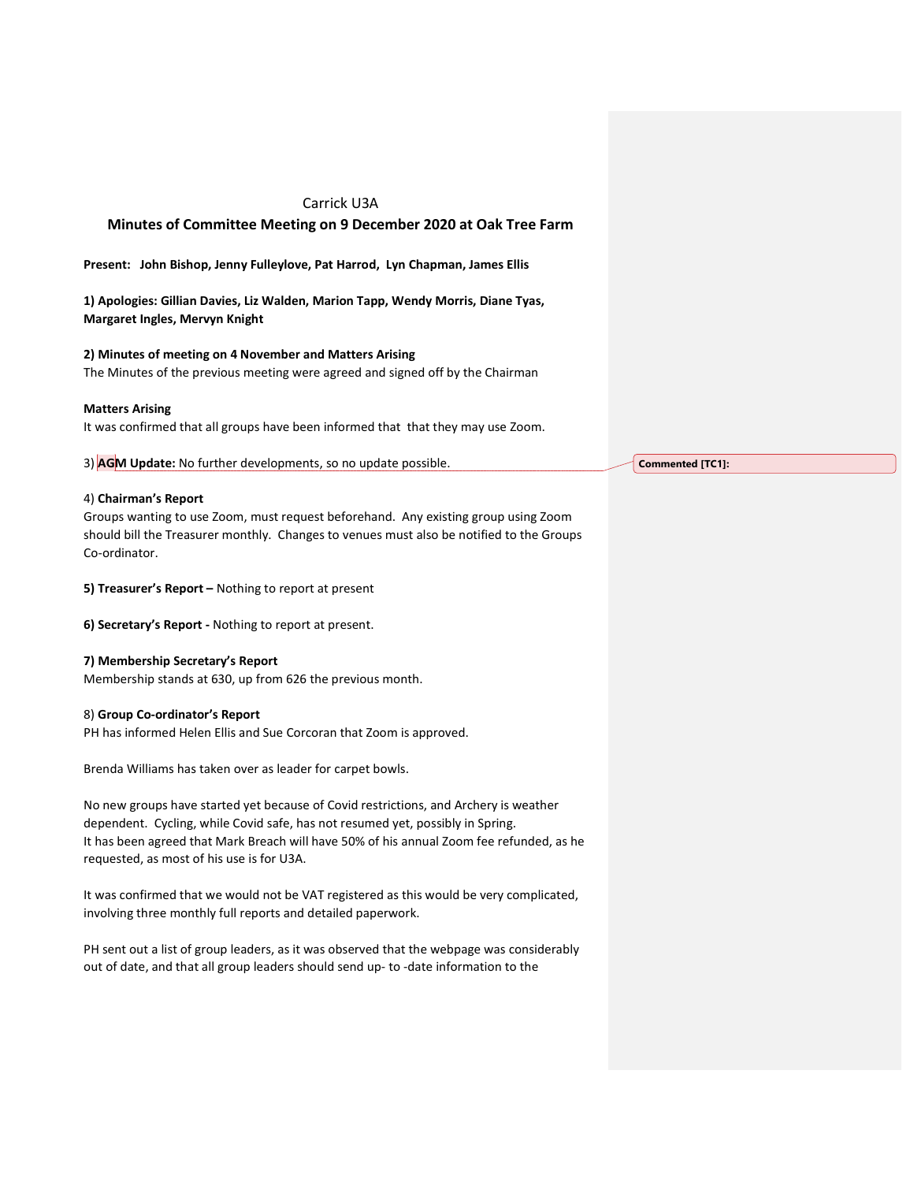# Carrick U3A

# Minutes of Committee Meeting on 9 December 2020 at Oak Tree Farm

Present: John Bishop, Jenny Fulleylove, Pat Harrod, Lyn Chapman, James Ellis

1) Apologies: Gillian Davies, Liz Walden, Marion Tapp, Wendy Morris, Diane Tyas, Margaret Ingles, Mervyn Knight

## 2) Minutes of meeting on 4 November and Matters Arising

The Minutes of the previous meeting were agreed and signed off by the Chairman

#### Matters Arising

It was confirmed that all groups have been informed that that they may use Zoom.

3) AGM Update: No further developments, so no update possible.

### 4) Chairman's Report

Groups wanting to use Zoom, must request beforehand. Any existing group using Zoom should bill the Treasurer monthly. Changes to venues must also be notified to the Groups Co-ordinator.

5) Treasurer's Report – Nothing to report at present

6) Secretary's Report - Nothing to report at present.

#### 7) Membership Secretary's Report

Membership stands at 630, up from 626 the previous month.

#### 8) Group Co-ordinator's Report

PH has informed Helen Ellis and Sue Corcoran that Zoom is approved.

Brenda Williams has taken over as leader for carpet bowls.

No new groups have started yet because of Covid restrictions, and Archery is weather dependent. Cycling, while Covid safe, has not resumed yet, possibly in Spring. It has been agreed that Mark Breach will have 50% of his annual Zoom fee refunded, as he requested, as most of his use is for U3A.

It was confirmed that we would not be VAT registered as this would be very complicated, involving three monthly full reports and detailed paperwork.

PH sent out a list of group leaders, as it was observed that the webpage was considerably out of date, and that all group leaders should send up- to -date information to the

Commented [TC1]: